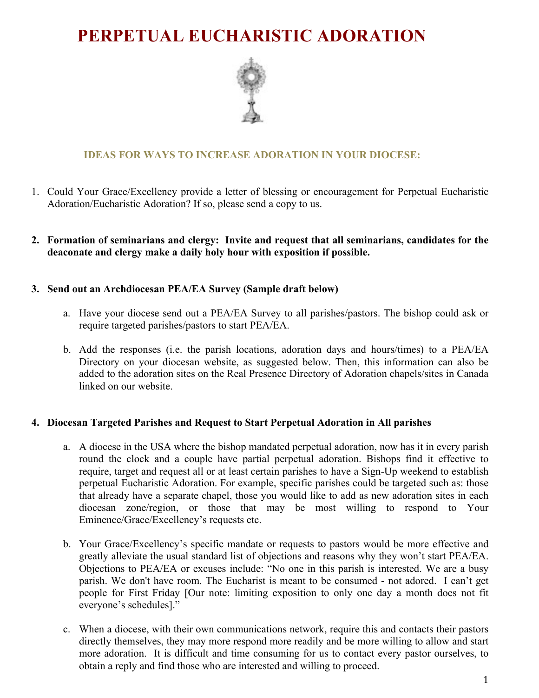# **PERPETUAL EUCHARISTIC ADORATION**



# **IDEAS FOR WAYS TO INCREASE ADORATION IN YOUR DIOCESE:**

- 1. Could Your Grace/Excellency provide a letter of blessing or encouragement for Perpetual Eucharistic Adoration/Eucharistic Adoration? If so, please send a copy to us.
- **2. Formation of seminarians and clergy: Invite and request that all seminarians, candidates for the deaconate and clergy make a daily holy hour with exposition if possible.**

#### **3. Send out an Archdiocesan PEA/EA Survey (Sample draft below)**

- a. Have your diocese send out a PEA/EA Survey to all parishes/pastors. The bishop could ask or require targeted parishes/pastors to start PEA/EA.
- b. Add the responses (i.e. the parish locations, adoration days and hours/times) to a PEA/EA Directory on your diocesan website, as suggested below. Then, this information can also be added to the adoration sites on the Real Presence Directory of Adoration chapels/sites in Canada linked on our website.

#### **4. Diocesan Targeted Parishes and Request to Start Perpetual Adoration in All parishes**

- a. A diocese in the USA where the bishop mandated perpetual adoration, now has it in every parish round the clock and a couple have partial perpetual adoration. Bishops find it effective to require, target and request all or at least certain parishes to have a Sign-Up weekend to establish perpetual Eucharistic Adoration. For example, specific parishes could be targeted such as: those that already have a separate chapel, those you would like to add as new adoration sites in each diocesan zone/region, or those that may be most willing to respond to Your Eminence/Grace/Excellency's requests etc.
- b. Your Grace/Excellency's specific mandate or requests to pastors would be more effective and greatly alleviate the usual standard list of objections and reasons why they won't start PEA/EA. Objections to PEA/EA or excuses include: "No one in this parish is interested. We are a busy parish. We don't have room. The Eucharist is meant to be consumed - not adored. I can't get people for First Friday [Our note: limiting exposition to only one day a month does not fit everyone's schedules]."
- c. When a diocese, with their own communications network, require this and contacts their pastors directly themselves, they may more respond more readily and be more willing to allow and start more adoration. It is difficult and time consuming for us to contact every pastor ourselves, to obtain a reply and find those who are interested and willing to proceed.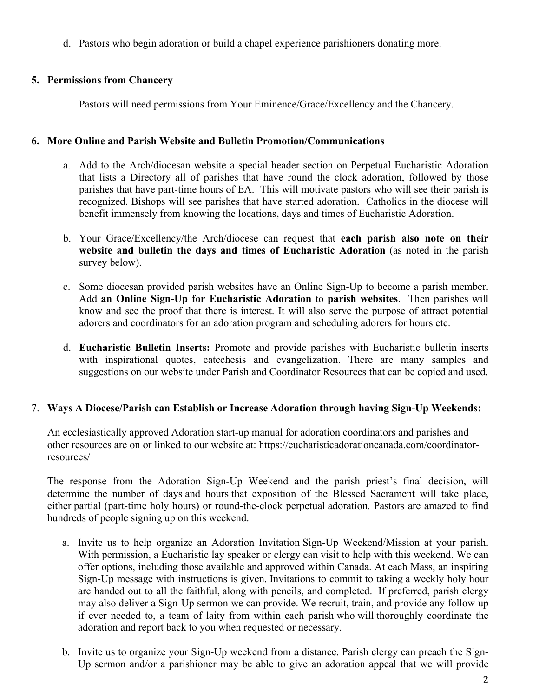d. Pastors who begin adoration or build a chapel experience parishioners donating more.

## **5. Permissions from Chancery**

Pastors will need permissions from Your Eminence/Grace/Excellency and the Chancery.

## **6. More Online and Parish Website and Bulletin Promotion/Communications**

- a. Add to the Arch/diocesan website a special header section on Perpetual Eucharistic Adoration that lists a Directory all of parishes that have round the clock adoration, followed by those parishes that have part-time hours of EA. This will motivate pastors who will see their parish is recognized. Bishops will see parishes that have started adoration. Catholics in the diocese will benefit immensely from knowing the locations, days and times of Eucharistic Adoration.
- b. Your Grace/Excellency/the Arch/diocese can request that **each parish also note on their website and bulletin the days and times of Eucharistic Adoration** (as noted in the parish survey below).
- c. Some diocesan provided parish websites have an Online Sign-Up to become a parish member. Add **an Online Sign-Up for Eucharistic Adoration** to **parish websites**. Then parishes will know and see the proof that there is interest. It will also serve the purpose of attract potential adorers and coordinators for an adoration program and scheduling adorers for hours etc.
- d. **Eucharistic Bulletin Inserts:** Promote and provide parishes with Eucharistic bulletin inserts with inspirational quotes, catechesis and evangelization. There are many samples and suggestions on our website under Parish and Coordinator Resources that can be copied and used.

## 7. **Ways A Diocese/Parish can Establish or Increase Adoration through having Sign-Up Weekends:**

An ecclesiastically approved Adoration start-up manual for adoration coordinators and parishes and other resources are on or linked to our website at: https://eucharisticadorationcanada.com/coordinatorresources/

The response from the Adoration Sign-Up Weekend and the parish priest's final decision, will determine the number of days and hours that exposition of the Blessed Sacrament will take place, either partial (part-time holy hours) or round-the-clock perpetual adoration*.* Pastors are amazed to find hundreds of people signing up on this weekend.

- a. Invite us to help organize an Adoration Invitation Sign-Up Weekend/Mission at your parish. With permission, a Eucharistic lay speaker or clergy can visit to help with this weekend. We can offer options, including those available and approved within Canada. At each Mass, an inspiring Sign-Up message with instructions is given. Invitations to commit to taking a weekly holy hour are handed out to all the faithful, along with pencils, and completed. If preferred, parish clergy may also deliver a Sign-Up sermon we can provide. We recruit, train, and provide any follow up if ever needed to, a team of laity from within each parish who will thoroughly coordinate the adoration and report back to you when requested or necessary.
- b. Invite us to organize your Sign-Up weekend from a distance. Parish clergy can preach the Sign-Up sermon and/or a parishioner may be able to give an adoration appeal that we will provide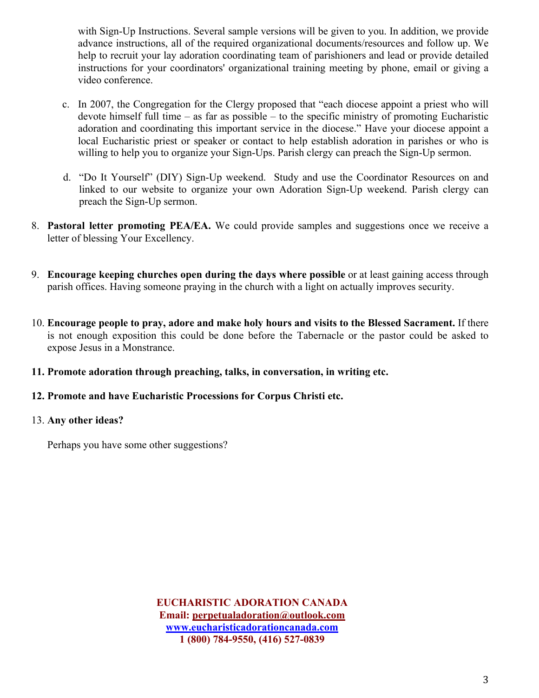with Sign-Up Instructions. Several sample versions will be given to you. In addition, we provide advance instructions, all of the required organizational documents/resources and follow up. We help to recruit your lay adoration coordinating team of parishioners and lead or provide detailed instructions for your coordinators' organizational training meeting by phone, email or giving a video conference.

- c. In 2007, the Congregation for the Clergy proposed that "each diocese appoint a priest who will devote himself full time – as far as possible – to the specific ministry of promoting Eucharistic adoration and coordinating this important service in the diocese." Have your diocese appoint a local Eucharistic priest or speaker or contact to help establish adoration in parishes or who is willing to help you to organize your Sign-Ups. Parish clergy can preach the Sign-Up sermon.
- d. "Do It Yourself" (DIY) Sign-Up weekend. Study and use the Coordinator Resources on and linked to our website to organize your own Adoration Sign-Up weekend. Parish clergy can preach the Sign-Up sermon.
- 8. **Pastoral letter promoting PEA/EA.** We could provide samples and suggestions once we receive a letter of blessing Your Excellency.
- 9. **Encourage keeping churches open during the days where possible** or at least gaining access through parish offices. Having someone praying in the church with a light on actually improves security.
- 10. **Encourage people to pray, adore and make holy hours and visits to the Blessed Sacrament.** If there is not enough exposition this could be done before the Tabernacle or the pastor could be asked to expose Jesus in a Monstrance.
- **11. Promote adoration through preaching, talks, in conversation, in writing etc.**

## **12. Promote and have Eucharistic Processions for Corpus Christi etc.**

## 13. **Any other ideas?**

Perhaps you have some other suggestions?

**EUCHARISTIC ADORATION CANADA Email: perpetualadoration@outlook.com www.eucharisticadorationcanada.com 1 (800) 784-9550, (416) 527-0839**